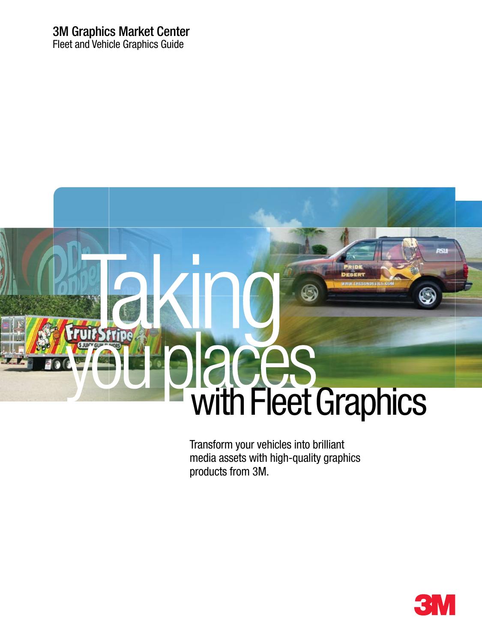## 3M Graphics Market Center

Fleet and Vehicle Graphics Guide



Transform your vehicles into brilliant media assets with high-quality graphics products from 3M.

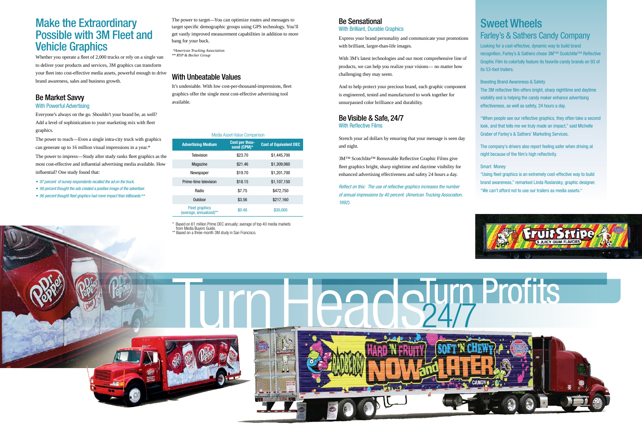### Be Market Savvy

### With Powerful Advertising

Everyone's always on the go. Shouldn't your brand be, as well? Add a level of sophistication to your marketing mix with fleet graphics.

The power to reach—Even a single intra-city truck with graphics can generate up to 16 million visual impressions in a year.\*

The power to impress—Study after study ranks fleet graphics as the most cost-effective and influential advertising media available. How influential? One study found that:

- 97 percent of survey respondents recalled the ad on the truck.
- 98 percent thought the ads created a positive image of the advertiser.
- 96 percent thought fleet graphics had more impact than billboards.*\*\**

### Be Sensational With Brilliant, Durable Graphics

Express your brand personality and communicate your promotions with brilliant, larger-than-life images.

Whether you operate a fleet of 2,000 trucks or rely on a single van to deliver your products and services, 3M graphics can transform your fleet into cost-effective media assets, powerful enough to drive brand awareness, sales and business growth.<br>brand awareness, sales and business growth.

With 3M's latest technologies and our most comprehensive line of products, we can help you realize your visions— no matter how challenging they may seem.

And to help protect your precious brand, each graphic component is engineered, tested and manufactured to work together for unsurpassed color brilliance and durability.

### Be Visible & Safe, 24/7 With Reflective Films

Stretch your ad dollars by ensuring that your message is seen day and night.

3M™ Scotchlite™ Removable Reflective Graphic Films give fleet graphics bright, sharp nighttime and daytime visibility for enhanced advertising effectiveness and safety 24 hours a day.

Reflect on this: The use of reflective graphics increases the number of annual impressions by 40 percent. (American Trucking Association, 1992).



## Make the Extraordinary Possible with 3M Fleet and Vehicle Graphics

It's undeniable. With low cost-per-thousand-impressions, fleet graphics offer the single most cost-effective advertising tool available.

### Media Asset-Value Comparison

| <b>Advertising Medium</b>                        | Cost per thou-<br>sand (CPM)* | <b>Cost of Equivalent DEC</b> |
|--------------------------------------------------|-------------------------------|-------------------------------|
| <b>Television</b>                                | \$23.70                       | \$1,445,700                   |
| <b>Magazine</b>                                  | \$21.46                       | \$1,309,060                   |
| Newspaper                                        | \$19.70                       | \$1,201,700                   |
| Prime-time television                            | \$18.15                       | \$1,107,150                   |
| Radio                                            | \$7.75                        | \$472,750                     |
| Outdoor                                          | \$3.56                        | \$217,160                     |
| <b>Fleet graphics</b><br>(average, annualized)** | \$0.48                        | \$30,000                      |

\* Based on 61 million Prime DEC annually; average of top 40 media markets from Media Buyers Guide.

\*\* Based on a three-month 3M study in San Francisco.

The power to target—You can optimize routes and messages to target specific demographic groups using GPS technology. You'll get vastly improved measurement capabilities in addition to more bang for your buck.

*\*American Trucking Association \*\* RYP & Becker Group*

## Sweet Wheels Farley's & Sathers Candy Company

Looking for a cost-effective, dynamic way to build brand recognition, Farley's & Sathers chose 3M™ Scotchlite™ Reflective Graphic Film to colorfully feature its favorite candy brands on 93 of its 53-foot trailers.

Boosting Brand Awareness & Safety The 3M reflective film offers bright, sharp nighttime and daytime visibility and is helping the candy maker enhance advertising effectiveness, as well as safety, 24 hours a day.

"When people see our reflective graphics, they often take a second look, and that tells me we truly made an impact," said Michelle Graber of Farley's & Sathers' Marketing Services.

The company's drivers also report feeling safer when driving at night because of the film's high reflectivity.

### Smart Money

"Using fleet graphics is an extremely cost-effective way to build brand awareness," remarked Linda Roslansky, graphic designer. "We can't afford not to use our trailers as media assets."

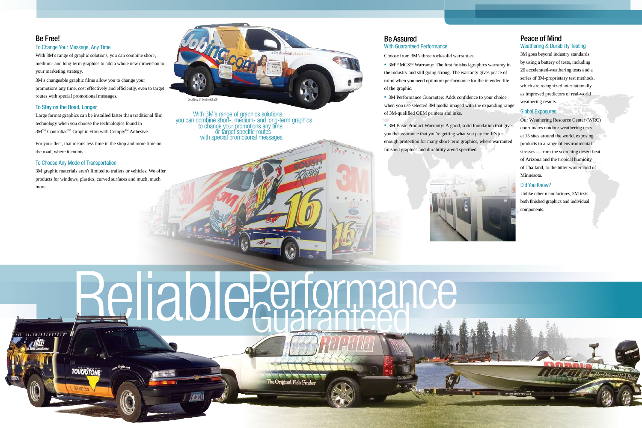### Be Free!

### To Change Your Message, Any Time

With 3M's range of graphic solutions, you can combine short-, medium- and long-term graphics to add a whole new dimension to your marketing strategy.

3M's changeable graphic films allow you to change your promotions any time, cost effectively and efficiently, even to target routes with special promotional messages.

### To Stay on the Road, Longer

Large format graphics can be installed faster than traditional film technology when you choose the technologies found in 3M™ Controltac™ Graphic Film with Comply™ Adhesive.

For your fleet, that means less time in the shop and more time on the road, where it counts.

### To Choose Any Mode of Transportation

**TOUCHSTON** 

3M graphic materials aren't limited to trailers or vehicles. We offer products for windows, plastics, curved surfaces and much, much more.

### Be Assured With Guaranteed Performance

Choose from 3M's three rock-solid warranties.

• 3M™ MCS™ Warranty: The first finished-graphics warranty in the industry and still going strong. The warranty gives peace of mind when you need optimum performance for the intended life of the graphic.

• 3M Performance Guarantee: Adds confidence to your choice when you use selected 3M media imaged with the expanding range of 3M-qualified OEM printers and inks.

• 3M Basic Product Warranty: A good, solid foundation that gives you the assurance that you're getting what you pay for. It's just enough protection for many short-term graphics, where warranted finished graphics and durability aren't specified.



# Beliable Serformance  $111891801061575$ \*

th 94

e Original Fish Finder

### Peace of Mind Weathering & Durability Testing

3M goes beyond industry standards by using a battery of tests, including 20 accelerated-weathering tests and a series of 3M-proprietary test methods, which are recognized internationally as improved predictors of real-world weathering results.

### Global Exposures

Our Weathering Resource Center (WRC) coordinates outdoor weathering tests at 15 sites around the world, exposing products to a range of environmental stresses —from the scorching desert heat of Arizona and the tropical humidity of Thailand, to the bitter winter cold of Minnesota.

### Did You Know?

Unlike other manufactures, 3M tests both finished graphics and individual components.





or target specific routes.<br>with special promotional messages. With 3M's range of graphics solutions,<br>you can combine short-, medium- and long-term graphics<br>to change your promotions any time,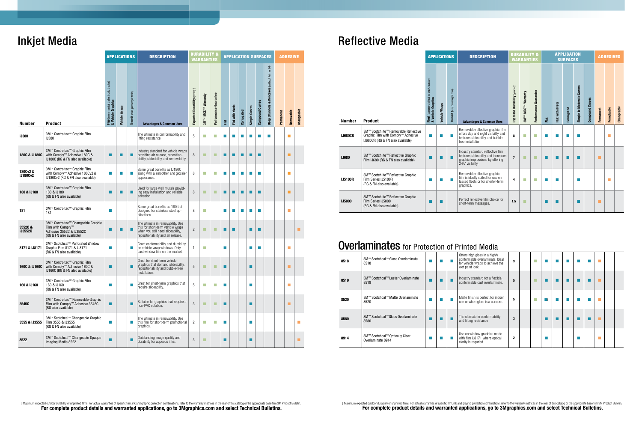|                            |                                                                                                                 |                                                                  | <b>APPLICATIONS</b> |                                | <b>DESCRIPTION</b>                                                                                                                                |                               | <b>DURABILITY &amp;</b><br><b>WARRANTIES</b> |                       | <b>APPLICATION SURFACES</b> |                  |                |                   |                        |                                              |           | <b>ADHESIVE</b>   |                             |  |  |
|----------------------------|-----------------------------------------------------------------------------------------------------------------|------------------------------------------------------------------|---------------------|--------------------------------|---------------------------------------------------------------------------------------------------------------------------------------------------|-------------------------------|----------------------------------------------|-----------------------|-----------------------------|------------------|----------------|-------------------|------------------------|----------------------------------------------|-----------|-------------------|-----------------------------|--|--|
| <b>Number</b>              | <b>Product</b>                                                                                                  | Fleet (commercial trailer, truck, tractor)<br>& Vehicle Graphics | Vehicle Wraps       | Transit (bus, passenger train) | <b>Advantages &amp; Common Uses</b>                                                                                                               | Expected Durability (years) + | 3MTM MCSTM Warranty                          | Performance Guarantee | Flat                        | Flat with rivets | Corrugated     | Simple Curves     | <b>Compound Curves</b> | Deep Channels & Concaves (without Primer 94) | Permanent | Removable         | Changeable                  |  |  |
| <b>IJ380</b>               | 3M™ Controltac™ Graphic Film<br><b>IJ380</b>                                                                    |                                                                  |                     |                                | The ultimate in conformability and<br>lifting resistance                                                                                          | 5                             | H                                            | r.                    | п                           | <b>College</b>   | <b>College</b> | <b>COL</b>        | <b>COL</b>             | <b>The State</b>                             |           | ш                 |                             |  |  |
| 180C & IJ180C              | 3M™ Controltac™ Graphic Film<br>with Comply™ Adhesive 180C &<br>IJ180C (RG & FN also available)                 | П                                                                | ш                   | Г                              | Industry standard for vehicle wraps<br>providing air release, reposition-<br>ability, slideability and removability.                              | 8                             | п                                            | п                     | п                           | ■                | П              | п                 | П                      |                                              |           | п                 |                             |  |  |
| 180Cv2&<br><b>IJ180Cv2</b> | 3M™ Controltac™ Graphic Film<br>with Comply™ Adhesive 180Cv2 &<br>IJ180Cv2 (RG & FN also available)             | $\blacksquare$                                                   | u.                  | P.                             | Same great benefits as IJ180C<br>along with a smoother and glossier<br>appearance.                                                                | 8                             | П                                            | T.                    | ▄                           | <b>The State</b> | П              | <b>CONTRACT</b>   | <b>COL</b>             |                                              |           |                   |                             |  |  |
| 180 & IJ180                | 3M™ Controltac™ Graphic Film<br>180 & IJ180<br>(RG & FN also available)                                         | ▛                                                                |                     | Г                              | Used for large wall murals provid-<br>ing easy installation and reliable<br>adhesion.                                                             | 8                             | П                                            | г                     | ▉                           | ▄                | П              |                   | П                      |                                              |           | п                 |                             |  |  |
| 181                        | 3M™ Controltac™ Graphic Film<br>181                                                                             | m.                                                               |                     |                                | Same great benefits as 180 but<br>designed for stainless steel ap-<br>plications.                                                                 | 8                             | H                                            |                       | ш                           | ш                | ш              | ш                 | <b>College</b>         |                                              |           |                   |                             |  |  |
| 3552C &<br><b>IJ3552C</b>  | 3M™ Controltac™ Changeable Graphic<br>Film with Comply™<br>Adhesive 3552C & IJ3552C<br>(RG & FN also available) | П                                                                |                     | г                              | The ultimate in removability. Use<br>this for short-term vehicle wraps<br>when you still need slideability,<br>repositionability and air release. | $\overline{2}$                | п                                            | п                     | П                           | п                |                | ш                 | П                      |                                              |           |                   | ш                           |  |  |
| 8171 & IJ8171              | 3M™ Scotchcal™ Perforated Window<br>Graphic Film 8171 & IJ8171<br>(RG & FN also available)                      | П                                                                |                     | Г                              | Great conformability and durability<br>on vehicle wrap windows. Only<br>cast window film on the market.                                           | $\mathbf{1}$                  | H                                            |                       | п                           |                  |                |                   | ш                      |                                              |           |                   |                             |  |  |
| 160C & IJ160C              | 3M™ Controltac™ Graphic Film<br>with Comply™ Adhesive 160C &<br>IJ160C (RG & FN also available)                 | П                                                                |                     | г                              | Great for short-term vehicle<br>graphics that demand slideability,<br>repositionability and bubble-free<br>installation.                          | 5                             | П                                            | г                     | $\blacksquare$              |                  |                |                   |                        |                                              |           | п                 |                             |  |  |
| 160 & IJ160                | 3M™ Controltac™ Graphic Film<br>160 & IJ160<br>(RG & FN also available)                                         | m.                                                               |                     | г                              | Great for short-term graphics that<br>require slideability.                                                                                       | 5                             | H                                            | F.                    | <b>College</b>              |                  |                | <b>The State</b>  |                        |                                              |           | <b>The Second</b> |                             |  |  |
| 3545C                      | 3M™ Controltac™ Removable Graphic<br>Film with Comply™ Adhesive 3545C<br>(RG also available)                    | $\blacksquare$                                                   |                     | Г                              | Suitable for graphics that require a<br>non-PVC solution.                                                                                         | 3                             | п                                            | п                     | П                           |                  |                | ш                 |                        |                                              |           | п                 |                             |  |  |
| 3555 & IJ3555              | 3M™ Scotchcal™ Changeable Graphic<br>Film 3555 & IJ3555<br>(RG & FN also available)                             | <b>COL</b>                                                       |                     | H.                             | The ultimate in removability. Use<br>this film for short-term promotional<br>graphics.                                                            | $\overline{c}$                | n.                                           | п                     | п                           |                  |                | <b>The Second</b> |                        |                                              |           |                   | $\mathcal{C}^{\mathcal{A}}$ |  |  |
| 8522                       | 3M™ Scotchcal™ Changeable Opaque<br>Imaging Media 8522                                                          | $\blacksquare$                                                   |                     | Г                              | Outstanding image quality and<br>durability for aqueous inks.                                                                                     | 3                             | п                                            |                       | П                           |                  |                |                   |                        |                                              |           |                   | ш                           |  |  |

# Inkjet Media

# Reflective Media

|                |                                                                                                                | <b>APPLICATIONS</b>                                              |               |                                | <b>DESCRIPTION</b>                                                                                                                  | <b>DURABILITY &amp;</b><br><b>WARRANTIES</b> |                            |                       |     |                  | <b>APPLICATION</b><br><b>SURFACES</b> |                           | <b>ADHESIVES</b> |           |            |            |
|----------------|----------------------------------------------------------------------------------------------------------------|------------------------------------------------------------------|---------------|--------------------------------|-------------------------------------------------------------------------------------------------------------------------------------|----------------------------------------------|----------------------------|-----------------------|-----|------------------|---------------------------------------|---------------------------|------------------|-----------|------------|------------|
| <b>Number</b>  | <b>Product</b>                                                                                                 | Fleet (commercial trailer, truck, tractor)<br>& Vehicle Graphics | Vehicle Wraps | Transit (bus, passenger train) | <b>Advantages &amp; Common Uses</b>                                                                                                 | Expected Durability (years) +                | <b>3MTM MCSTM Warranty</b> | Performance Guarantee | Fet | Flat with rivets | Corrugated                            | Simple to Moderate Curves | Compound Curves  | Permanent | Remobable  | Changeable |
| <b>IJ680CR</b> | 3M™ Scotchlite™ Removable Reflective<br>Graphic Film with Comply™ Adhesive<br>IJ680CR (RG & FN also available) | a a                                                              |               | П                              | Removable reflective graphic film<br>offers day and night visibility and<br>features slideability and bubble-<br>free installation. | 8                                            | H.                         | T.                    | ш   |                  |                                       | <b>The Second Second</b>  |                  |           |            |            |
| <b>IJ680</b>   | 3M™ Scotchlite™ Reflective Graphic<br>Film IJ680 (RG & FN also available)                                      |                                                                  |               | П                              | Industry standard reflective film<br>features slideability and increases<br>graphic impressions by offering<br>24/7 visibility.     | $\overline{7}$                               | п                          | ×                     | ш   |                  |                                       | ш                         |                  | п         |            |            |
| <b>IJ5100R</b> | 3M™ Scotchlite™ Reflective Graphic<br>Film Series IJ5100R<br>(RG & FN also available)                          | <b>CONTRACTOR</b>                                                | П             | п                              | Removable reflective graphic<br>film is ideally suited for use on<br>leased fleets or for shorter-term<br>graphics.                 | 4                                            | H.                         | П                     | ш   | ш                |                                       | <b>The Second Second</b>  |                  |           | <b>COL</b> |            |
| <b>IJ5000</b>  | 3M™ Scotchlite™ Reflective Graphic<br>Film Series IJ5000<br>(RG & FN also available)                           |                                                                  |               |                                | Perfect reflective film choice for<br>short-term messages.                                                                          | 1.5                                          | ٠                          |                       |     |                  |                                       |                           |                  | п         |            |            |

## **Overlaminates** for Protection of Printed Media

| 8518 | 3M™ Scotchcal™ Gloss Overlaminate<br>8518           |   |  | Offers high gloss in a highly<br>conformable overlaminate. Ideal<br>for vehicle wraps to achieve the<br>wet paint look. | 3            |  |    |  |    |  |  |
|------|-----------------------------------------------------|---|--|-------------------------------------------------------------------------------------------------------------------------|--------------|--|----|--|----|--|--|
| 8519 | 3M™ Scotchcal™ Luster Overlaminate<br>8519          | ■ |  | Industry standard for a flexible,<br>conformable cast overlaminate.                                                     | 5            |  |    |  | ×. |  |  |
| 8520 | 3M™ Scotchcal™ Matte Overlaminate<br>8520           |   |  | Matte finish is perfect for indoor<br>use or when glare is a concern.                                                   | 5            |  | ۳ı |  |    |  |  |
| 8580 | 3M™ Scotchcal™Gloss Overlaminate<br>8580            | п |  | The ultimate in conformability<br>and lifting resistance                                                                | 3            |  |    |  |    |  |  |
| 8914 | 3M™ Scotchcal™ Optically Clear<br>Overlaminate 8914 |   |  | Use on window graphics made<br>with film IJ8171 where optical<br>clarity is requried.                                   | $\mathbf{2}$ |  |    |  |    |  |  |

† Maximum expected outdoor durability of unprinted films. For actual waranties of specific film, ink and graphic protection combinations, refer to the warranty matrices in the rear of this catalog or the appropriate base f

† Maximum expected outdoor durability of unprinted films. For actual warranties of specific film, ink and graphic protection combinations, refer to the warranty matrices in the rear of this catalog or the appropriate base